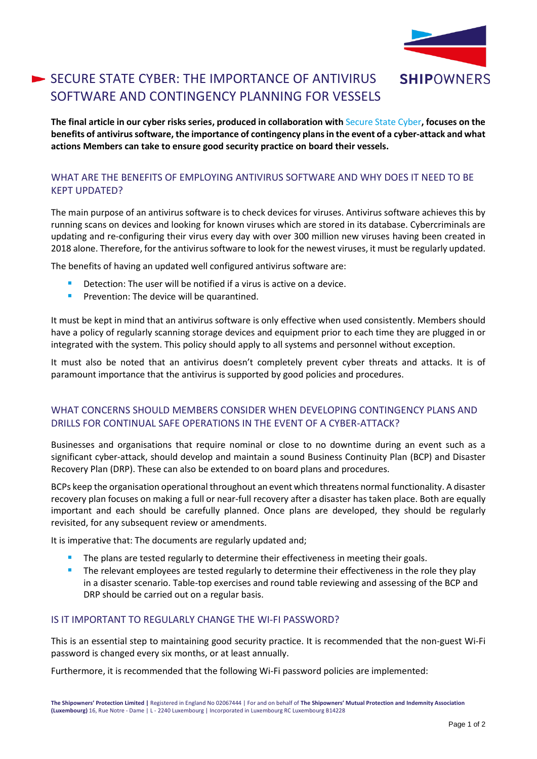

### SECURE STATE CYBER: THE IMPORTANCE OF ANTIVIRUS **SHIPOWNERS** SOFTWARE AND CONTINGENCY PLANNING FOR VESSELS

**The final article in our cyber risks series, produced in collaboration with** [Secure State Cyber](https://securestatecyber.com/)**, focuses on the benefits of antivirus software, the importance of contingency plans in the event of a cyber-attack and what actions Members can take to ensure good security practice on board their vessels.**

# WHAT ARE THE BENEFITS OF EMPLOYING ANTIVIRUS SOFTWARE AND WHY DOES IT NEED TO BE KEPT UPDATED?

The main purpose of an antivirus software is to check devices for viruses. Antivirus software achieves this by running scans on devices and looking for known viruses which are stored in its database. Cybercriminals are updating and re-configuring their virus every day with over 300 million new viruses having been created in 2018 alone. Therefore, for the antivirus software to look for the newest viruses, it must be regularly updated.

The benefits of having an updated well configured antivirus software are:

- Detection: The user will be notified if a virus is active on a device.
- **•** Prevention: The device will be quarantined.

It must be kept in mind that an antivirus software is only effective when used consistently. Members should have a policy of regularly scanning storage devices and equipment prior to each time they are plugged in or integrated with the system. This policy should apply to all systems and personnel without exception.

It must also be noted that an antivirus doesn't completely prevent cyber threats and attacks. It is of paramount importance that the antivirus is supported by good policies and procedures.

### WHAT CONCERNS SHOULD MEMBERS CONSIDER WHEN DEVELOPING CONTINGENCY PLANS AND DRILLS FOR CONTINUAL SAFE OPERATIONS IN THE EVENT OF A CYBER-ATTACK?

Businesses and organisations that require nominal or close to no downtime during an event such as a significant cyber-attack, should develop and maintain a sound Business Continuity Plan (BCP) and Disaster Recovery Plan (DRP). These can also be extended to on board plans and procedures.

BCPs keep the organisation operational throughout an event which threatens normal functionality. A disaster recovery plan focuses on making a full or near-full recovery after a disaster has taken place. Both are equally important and each should be carefully planned. Once plans are developed, they should be regularly revisited, for any subsequent review or amendments.

It is imperative that: The documents are regularly updated and;

- The plans are tested regularly to determine their effectiveness in meeting their goals.
- **•** The relevant employees are tested regularly to determine their effectiveness in the role they play in a disaster scenario. Table-top exercises and round table reviewing and assessing of the BCP and DRP should be carried out on a regular basis.

#### IS IT IMPORTANT TO REGULARLY CHANGE THE WI-FI PASSWORD?

This is an essential step to maintaining good security practice. It is recommended that the non-guest Wi-Fi password is changed every six months, or at least annually.

Furthermore, it is recommended that the following Wi-Fi password policies are implemented: